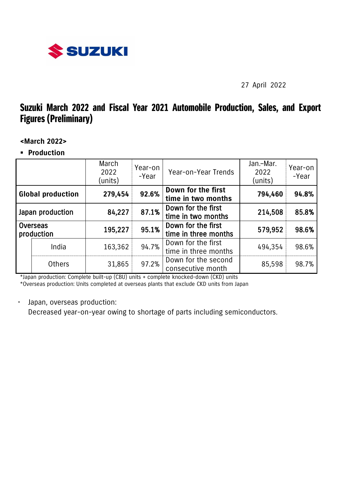

27 April 2022

# Suzuki March 2022 and Fiscal Year 2021 Automobile Production, Sales, and Export Figures (Preliminary)

**<March 2022>**

## ▪ **Production**

|                               |               | March<br>2022<br>(units) | Year-on<br>-Year | Year-on-Year Trends                        | Jan.-Mar.<br>2022<br>(units) | Year-on<br>-Year |
|-------------------------------|---------------|--------------------------|------------------|--------------------------------------------|------------------------------|------------------|
| <b>Global production</b>      |               | 279,454                  | 92.6%            | Down for the first<br>time in two months   | 794,460                      | 94.8%            |
| Japan production              |               | 84,227                   | 87.1%            | Down for the first<br>time in two months   | 214,508                      | 85.8%            |
| <b>Overseas</b><br>production |               | 195,227                  | 95.1%            | Down for the first<br>time in three months | 579,952                      | 98.6%            |
|                               | India         | 163,362                  | 94.7%            | Down for the first<br>time in three months | 494,354                      | 98.6%            |
|                               | <b>Others</b> | 31,865                   | 97.2%            | Down for the second<br>consecutive month   | 85,598                       | 98.7%            |

\*Japan production: Complete built-up (CBU) units + complete knocked-down (CKD) units

\*Overseas production: Units completed at overseas plants that exclude CKD units from Japan

Japan, overseas production:

Decreased year-on-year owing to shortage of parts including semiconductors.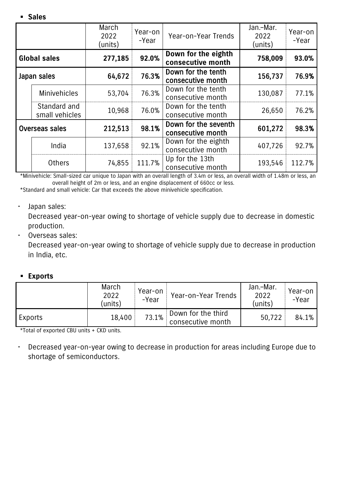▪ **Sales**

|                     |                                | March<br>2022<br>(units) | Year-on<br>-Year | Year-on-Year Trends                       | Jan.-Mar.<br>2022<br>(units) | Year-on<br>-Year |
|---------------------|--------------------------------|--------------------------|------------------|-------------------------------------------|------------------------------|------------------|
| <b>Global sales</b> |                                | 277,185                  | 92.0%            | Down for the eighth<br>consecutive month  | 758,009                      | 93.0%            |
|                     | Japan sales                    | 64,672                   | 76.3%            | Down for the tenth<br>consecutive month   | 156,737                      | 76.9%            |
|                     | <b>Minivehicles</b>            | 53,704                   | 76.3%            | Down for the tenth<br>consecutive month   | 130,087                      | 77.1%            |
|                     | Standard and<br>small vehicles | 10,968                   | 76.0%            | Down for the tenth<br>consecutive month   | 26,650                       | 76.2%            |
| Overseas sales      |                                | 212,513                  | 98.1%            | Down for the seventh<br>consecutive month | 601,272                      | 98.3%            |
|                     | India                          | 137,658                  | 92.1%            | Down for the eighth<br>consecutive month  | 407,726                      | 92.7%            |
|                     | <b>Others</b>                  | 74,855                   | 111.7%           | Up for the 13th<br>consecutive month      | 193,546                      | 112.7%           |

\*Minivehicle: Small-sized car unique to Japan with an overall length of 3.4m or less, an overall width of 1.48m or less, an overall height of 2m or less, and an engine displacement of 660cc or less.

\*Standard and small vehicle: Car that exceeds the above minivehicle specification.

Japan sales:

Decreased year-on-year owing to shortage of vehicle supply due to decrease in domestic production.

Overseas sales:

Decreased year-on-year owing to shortage of vehicle supply due to decrease in production in India, etc.

#### ▪ **Exports**

|         | March<br>2022<br>(units) | Year-on<br>-Year | Year-on-Year Trends                     | Jan.-Mar.<br>2022<br>(units) | Year-on<br>-Year |
|---------|--------------------------|------------------|-----------------------------------------|------------------------------|------------------|
| Exports | 18,400                   | 73.1%            | Down for the third<br>consecutive month | 50,722                       | 84.1%            |

\*Total of exported CBU units + CKD units.

 Decreased year-on-year owing to decrease in production for areas including Europe due to shortage of semiconductors.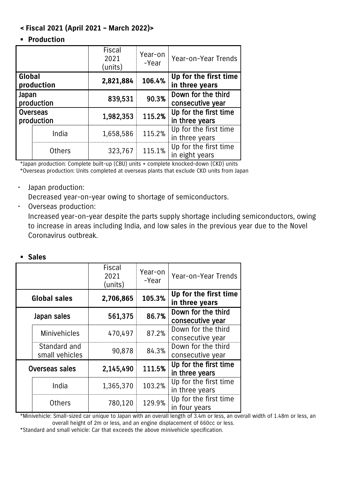# **< Fiscal 2021 (April 2021 – March 2022)>**

### ▪ **Production**

|                               |               | Fiscal<br>2021<br>(units) | Year-on<br>-Year | Year-on-Year Trends                     |
|-------------------------------|---------------|---------------------------|------------------|-----------------------------------------|
| Global<br>production          |               | 2,821,884                 | 106.4%           | Up for the first time<br>in three years |
| Japan<br>production           |               | 839,531                   | 90.3%            | Down for the third<br>consecutive year  |
| <b>Overseas</b><br>production |               | 1,982,353                 | 115.2%           | Up for the first time<br>in three years |
|                               | India         | 1,658,586                 | 115.2%           | Up for the first time<br>in three years |
|                               | <b>Others</b> | 323,767                   | 115.1%           | Up for the first time<br>in eight years |

\*Japan production: Complete built-up (CBU) units + complete knocked-down (CKD) units \*Overseas production: Units completed at overseas plants that exclude CKD units from Japan

Japan production:

Decreased year-on-year owing to shortage of semiconductors.

Overseas production:

Increased year-on-year despite the parts supply shortage including semiconductors, owing to increase in areas including India, and low sales in the previous year due to the Novel Coronavirus outbreak.

▪ **Sales**

|                     |                                | <b>Fiscal</b><br>2021<br>(units) | Year-on<br>-Year | Year-on-Year Trends                     |
|---------------------|--------------------------------|----------------------------------|------------------|-----------------------------------------|
| <b>Global sales</b> |                                | 2,706,865                        | 105.3%           | Up for the first time<br>in three years |
|                     | Japan sales                    | 561,375                          | 86.7%            | Down for the third<br>consecutive year  |
|                     | <b>Minivehicles</b>            | 470,497                          | 87.2%            | Down for the third<br>consecutive year  |
|                     | Standard and<br>small vehicles | 90,878                           | 84.3%            | Down for the third<br>consecutive year  |
|                     | Overseas sales                 | 2,145,490                        | 111.5%           | Up for the first time<br>in three years |
|                     | India                          | 1,365,370                        | 103.2%           | Up for the first time<br>in three years |
|                     | <b>Others</b>                  | 780,120                          | 129.9%           | Up for the first time<br>in four years  |

\*Minivehicle: Small-sized car unique to Japan with an overall length of 3.4m or less, an overall width of 1.48m or less, an overall height of 2m or less, and an engine displacement of 660cc or less.

\*Standard and small vehicle: Car that exceeds the above minivehicle specification.